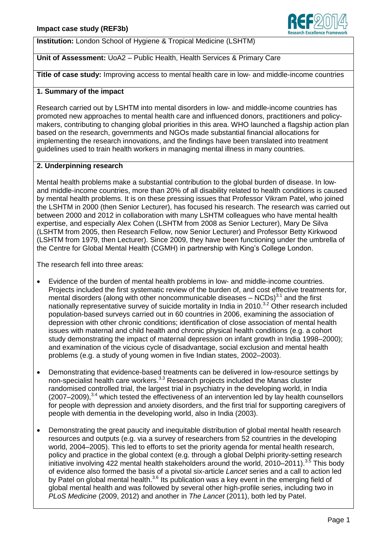

**Institution:** London School of Hygiene & Tropical Medicine (LSHTM)

# **Unit of Assessment:** UoA2 – Public Health, Health Services & Primary Care

**Title of case study:** Improving access to mental health care in low- and middle-income countries

## **1. Summary of the impact**

Research carried out by LSHTM into mental disorders in low- and middle-income countries has promoted new approaches to mental health care and influenced donors, practitioners and policymakers, contributing to changing global priorities in this area. WHO launched a flagship action plan based on the research, governments and NGOs made substantial financial allocations for implementing the research innovations, and the findings have been translated into treatment guidelines used to train health workers in managing mental illness in many countries.

## **2. Underpinning research**

Mental health problems make a substantial contribution to the global burden of disease. In lowand middle-income countries, more than 20% of all disability related to health conditions is caused by mental health problems. It is on these pressing issues that Professor Vikram Patel, who joined the LSHTM in 2000 (then Senior Lecturer), has focused his research. The research was carried out between 2000 and 2012 in collaboration with many LSHTM colleagues who have mental health expertise, and especially Alex Cohen (LSHTM from 2008 as Senior Lecturer), Mary De Silva (LSHTM from 2005, then Research Fellow, now Senior Lecturer) and Professor Betty Kirkwood (LSHTM from 1979, then Lecturer). Since 2009, they have been functioning under the umbrella of the Centre for Global Mental Health (CGMH) in partnership with King's College London.

The research fell into three areas:

- Evidence of the burden of mental health problems in low- and middle-income countries. Projects included the first systematic review of the burden of, and cost effective treatments for, mental disorders (along with other noncommunicable diseases  $-$  NCDs) $3.1$  and the first nationally representative survey of suicide mortality in India in 2010.<sup>3.2</sup> Other research included population-based surveys carried out in 60 countries in 2006, examining the association of depression with other chronic conditions; identification of close association of mental health issues with maternal and child health and chronic physical health conditions (e.g. a cohort study demonstrating the impact of maternal depression on infant growth in India 1998–2000); and examination of the vicious cycle of disadvantage, social exclusion and mental health problems (e.g. a study of young women in five Indian states, 2002–2003).
- Demonstrating that evidence-based treatments can be delivered in low-resource settings by non-specialist health care workers.<sup>3.3</sup> Research projects included the Manas cluster randomised controlled trial, the largest trial in psychiatry in the developing world, in India (2007–2009), 3.4 which tested the effectiveness of an intervention led by lay health counsellors for people with depression and anxiety disorders, and the first trial for supporting caregivers of people with dementia in the developing world, also in India (2003).
- Demonstrating the great paucity and inequitable distribution of global mental health research resources and outputs (e.g. via a survey of researchers from 52 countries in the developing world, 2004–2005). This led to efforts to set the priority agenda for mental health research, policy and practice in the global context (e.g. through a global Delphi priority-setting research initiative involving 422 mental health stakeholders around the world, 2010–2011).<sup>3.5</sup> This body of evidence also formed the basis of a pivotal six-article *Lancet* series and a call to action led by Patel on global mental health.<sup>3.6</sup> Its publication was a key event in the emerging field of global mental health and was followed by several other high-profile series, including two in *PLoS Medicine* (2009, 2012) and another in *The Lancet* (2011), both led by Patel.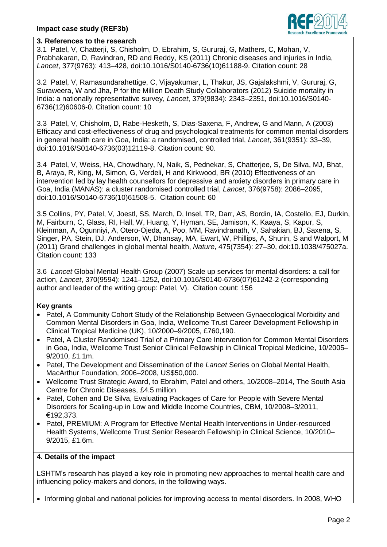

### **3. References to the research**

3.1 Patel, V, Chatterji, S, Chisholm, D, Ebrahim, S, Gururaj, G, Mathers, C, Mohan, V, Prabhakaran, D, Ravindran, RD and Reddy, KS (2011) Chronic diseases and injuries in India, *Lancet*, 377(9763): 413–428, doi:10.1016/S0140-6736(10)61188-9. Citation count: 28

3.2 Patel, V, Ramasundarahettige, C, Vijayakumar, L, Thakur, JS, Gajalakshmi, V, Gururaj, G, Suraweera, W and Jha, P for the Million Death Study Collaborators (2012) Suicide mortality in India: a nationally representative survey, *Lancet*, 379(9834): 2343–2351, doi:10.1016/S0140- 6736(12)60606-0. Citation count: 10

3.3 Patel, V, Chisholm, D, Rabe-Hesketh, S, Dias-Saxena, F, Andrew, G and Mann, A (2003) Efficacy and cost-effectiveness of drug and psychological treatments for common mental disorders in general health care in Goa, India: a randomised, controlled trial, *Lancet*, 361(9351): 33–39, doi:10.1016/S0140-6736(03)12119-8. Citation count: 90.

3.4 Patel, V, Weiss, HA, Chowdhary, N, Naik, S, Pednekar, S, Chatterjee, S, De Silva, MJ, Bhat, B, Araya, R, King, M, Simon, G, Verdeli, H and Kirkwood, BR (2010) Effectiveness of an intervention led by lay health counsellors for depressive and anxiety disorders in primary care in Goa, India (MANAS): a cluster randomised controlled trial, *Lancet*, 376(9758): 2086–2095, doi:10.1016/S0140-6736(10)61508-5. Citation count: 60

3.5 Collins, PY, Patel, V, Joestl, SS, March, D, Insel, TR, Darr, AS, Bordin, IA, Costello, EJ, Durkin, M, Fairburn, C, Glass, RI, Hall, W, Huang, Y, Hyman, SE, Jamison, K, Kaaya, S, Kapur, S, Kleinman, A, Ogunniyi, A, Otero-Ojeda, A, Poo, MM, Ravindranath, V, Sahakian, BJ, Saxena, S, Singer, PA, Stein, DJ, Anderson, W, Dhansay, MA, Ewart, W, Phillips, A, Shurin, S and Walport, M (2011) Grand challenges in global mental health, *Nature*, 475(7354): 27–30, doi:10.1038/475027a. Citation count: 133

3.6 *Lancet* Global Mental Health Group (2007) Scale up services for mental disorders: a call for action, *Lancet*, 370(9594): 1241–1252, doi:10.1016/S0140-6736(07)61242-2 (corresponding author and leader of the writing group: Patel, V). Citation count: 156

## **Key grants**

- Patel, A Community Cohort Study of the Relationship Between Gynaecological Morbidity and Common Mental Disorders in Goa, India, Wellcome Trust Career Development Fellowship in Clinical Tropical Medicine (UK), 10/2000–9/2005, £760,190.
- Patel, A Cluster Randomised Trial of a Primary Care Intervention for Common Mental Disorders in Goa, India, Wellcome Trust Senior Clinical Fellowship in Clinical Tropical Medicine, 10/2005– 9/2010, £1.1m.
- Patel, The Development and Dissemination of the *Lancet* Series on Global Mental Health, MacArthur Foundation, 2006–2008, US\$50,000.
- Wellcome Trust Strategic Award, to Ebrahim, Patel and others, 10/2008–2014, The South Asia Centre for Chronic Diseases, £4.5 million
- Patel, Cohen and De Silva, Evaluating Packages of Care for People with Severe Mental Disorders for Scaling-up in Low and Middle Income Countries, CBM, 10/2008–3/2011, €192,373.
- Patel, PREMIUM: A Program for Effective Mental Health Interventions in Under-resourced Health Systems, Wellcome Trust Senior Research Fellowship in Clinical Science, 10/2010– 9/2015, £1.6m.

## **4. Details of the impact**

LSHTM's research has played a key role in promoting new approaches to mental health care and influencing policy-makers and donors, in the following ways.

• Informing global and national policies for improving access to mental disorders. In 2008, WHO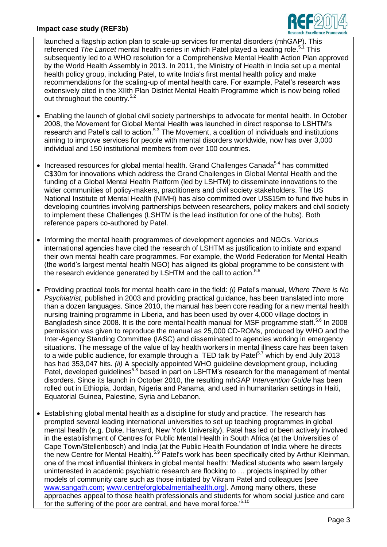

launched a flagship action plan to scale-up services for mental disorders (mhGAP). This referenced The Lancet mental health series in which Patel played a leading role.<sup>5.1</sup> This subsequently led to a WHO resolution for a Comprehensive Mental Health Action Plan approved by the World Health Assembly in 2013. In 2011, the Ministry of Health in India set up a mental health policy group, including Patel, to write India's first mental health policy and make recommendations for the scaling-up of mental health care. For example, Patel's research was extensively cited in the XIIth Plan District Mental Health Programme which is now being rolled out throughout the country.<sup>5.2</sup>

- Enabling the launch of global civil society partnerships to advocate for mental health. In October 2008, the Movement for Global Mental Health was launched in direct response to LSHTM's research and Patel's call to action.<sup>5.3</sup> The Movement, a coalition of individuals and institutions aiming to improve services for people with mental disorders worldwide, now has over 3,000 individual and 150 institutional members from over 100 countries.
- Increased resources for global mental health. Grand Challenges Canada<sup>5,4</sup> has committed C\$30m for innovations which address the Grand Challenges in Global Mental Health and the funding of a Global Mental Health Platform (led by LSHTM) to disseminate innovations to the wider communities of policy-makers, practitioners and civil society stakeholders. The US National Institute of Mental Health (NIMH) has also committed over US\$15m to fund five hubs in developing countries involving partnerships between researchers, policy makers and civil society to implement these Challenges (LSHTM is the lead institution for one of the hubs). Both reference papers co-authored by Patel.
- Informing the mental health programmes of development agencies and NGOs. Various international agencies have cited the research of LSHTM as justification to initiate and expand their own mental health care programmes. For example, the World Federation for Mental Health (the world's largest mental health NGO) has aligned its global programme to be consistent with the research evidence generated by LSHTM and the call to action.<sup>5.5</sup>
- Providing practical tools for mental health care in the field: *(i)* Patel's manual, *Where There is No Psychiatrist*, published in 2003 and providing practical guidance, has been translated into more than a dozen languages. Since 2010, the manual has been core reading for a new mental health nursing training programme in Liberia, and has been used by over 4,000 village doctors in Bangladesh since 2008. It is the core mental health manual for MSF programme staff.<sup>5.6</sup> In 2008 permission was given to reproduce the manual as 25,000 CD-ROMs, produced by WHO and the Inter-Agency Standing Committee (IASC) and disseminated to agencies working in emergency situations. The message of the value of lay health workers in mental illness care has been taken to a wide public audience, for example through a TED talk by Patel<sup>5.7</sup> which by end July 2013 has had 353,047 hits. *(ii)* A specially appointed WHO guideline development group, including Patel, developed guidelines<sup>5.8</sup> based in part on LSHTM's research for the management of mental disorders. Since its launch in October 2010, the resulting mhGAP *Intervention Guide* has been rolled out in Ethiopia, Jordan, Nigeria and Panama, and used in humanitarian settings in Haiti, Equatorial Guinea, Palestine, Syria and Lebanon.
- Establishing global mental health as a discipline for study and practice. The research has prompted several leading international universities to set up teaching programmes in global mental health (e.g. Duke, Harvard, New York University). Patel has led or been actively involved in the establishment of Centres for Public Mental Health in South Africa (at the Universities of Cape Town/Stellenbosch) and India (at the Public Health Foundation of India where he directs the new Centre for Mental Health).<sup>5.9</sup> Patel's work has been specifically cited by Arthur Kleinman, one of the most influential thinkers in global mental health: 'Medical students who seem largely uninterested in academic psychiatric research are flocking to … projects inspired by other models of community care such as those initiated by Vikram Patel and colleagues [see [www.sangath.com;](http://www.sangath.com/) [www.centreforglobalmentalhealth.org\]](http://www.centreforglobalmentalhealth.org/). Among many others, these approaches appeal to those health professionals and students for whom social justice and care for the suffering of the poor are central, and have moral force.'5.10